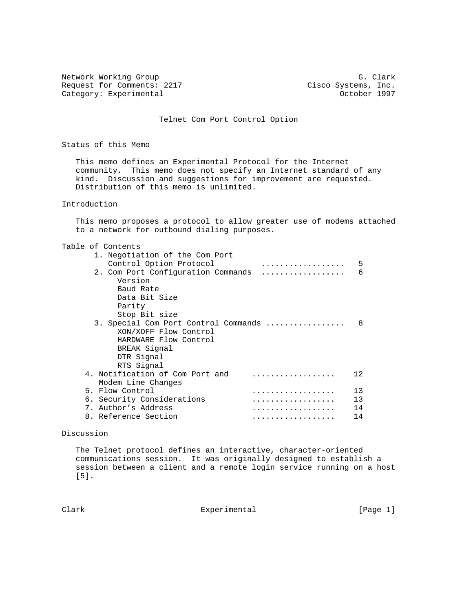Network Working Group G. Clark<br>Request for Comments: 2217 Cisco Systems, Inc. Category: Experimental

Cisco Systems, Inc.<br>October 1997

Telnet Com Port Control Option

Status of this Memo

 This memo defines an Experimental Protocol for the Internet community. This memo does not specify an Internet standard of any kind. Discussion and suggestions for improvement are requested. Distribution of this memo is unlimited.

## Introduction

 This memo proposes a protocol to allow greater use of modems attached to a network for outbound dialing purposes.

| Table of Contents |  |
|-------------------|--|
|-------------------|--|

| 1. Negotiation of the Com Port<br>Control Option Protocol<br>. | 5       |
|----------------------------------------------------------------|---------|
| 2. Com Port Configuration Commands<br>.                        | 6       |
| Version<br>Baud Rate                                           |         |
| Data Bit Size                                                  |         |
| Parity                                                         |         |
| Stop Bit size                                                  |         |
| 3. Special Com Port Control Commands                           | 8       |
| XON/XOFF Flow Control                                          |         |
| HARDWARE Flow Control                                          |         |
| BREAK Signal                                                   |         |
| DTR Signal                                                     |         |
| RTS Signal                                                     |         |
| 4. Notification of Com Port and                                | $12 \,$ |
| Modem Line Changes                                             |         |
| 5. Flow Control<br>.                                           | 13      |
| 6. Security Considerations<br>.                                | 13      |
| 7. Author's Address                                            | 14      |
| 8. Reference Section                                           | 14      |

## Discussion

 The Telnet protocol defines an interactive, character-oriented communications session. It was originally designed to establish a session between a client and a remote login service running on a host [5].

Clark **Experimental** Experimental [Page 1]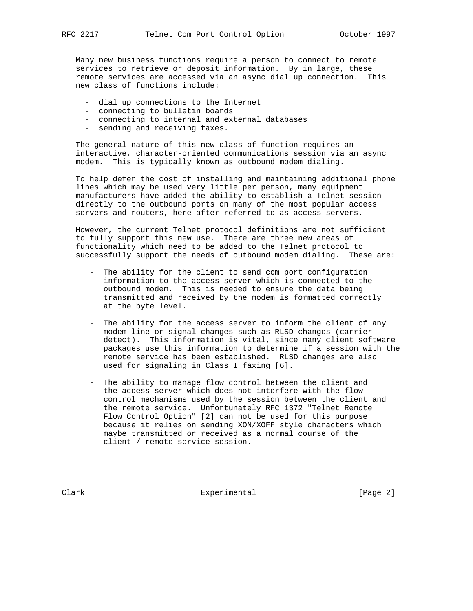Many new business functions require a person to connect to remote services to retrieve or deposit information. By in large, these remote services are accessed via an async dial up connection. This new class of functions include:

- dial up connections to the Internet
- connecting to bulletin boards
- connecting to internal and external databases
- sending and receiving faxes.

 The general nature of this new class of function requires an interactive, character-oriented communications session via an async modem. This is typically known as outbound modem dialing.

 To help defer the cost of installing and maintaining additional phone lines which may be used very little per person, many equipment manufacturers have added the ability to establish a Telnet session directly to the outbound ports on many of the most popular access servers and routers, here after referred to as access servers.

 However, the current Telnet protocol definitions are not sufficient to fully support this new use. There are three new areas of functionality which need to be added to the Telnet protocol to successfully support the needs of outbound modem dialing. These are:

- The ability for the client to send com port configuration information to the access server which is connected to the outbound modem. This is needed to ensure the data being transmitted and received by the modem is formatted correctly at the byte level.
- The ability for the access server to inform the client of any modem line or signal changes such as RLSD changes (carrier detect). This information is vital, since many client software packages use this information to determine if a session with the remote service has been established. RLSD changes are also used for signaling in Class I faxing [6].
- The ability to manage flow control between the client and the access server which does not interfere with the flow control mechanisms used by the session between the client and the remote service. Unfortunately RFC 1372 "Telnet Remote Flow Control Option" [2] can not be used for this purpose because it relies on sending XON/XOFF style characters which maybe transmitted or received as a normal course of the client / remote service session.

Clark **Experimental** Experimental [Page 2]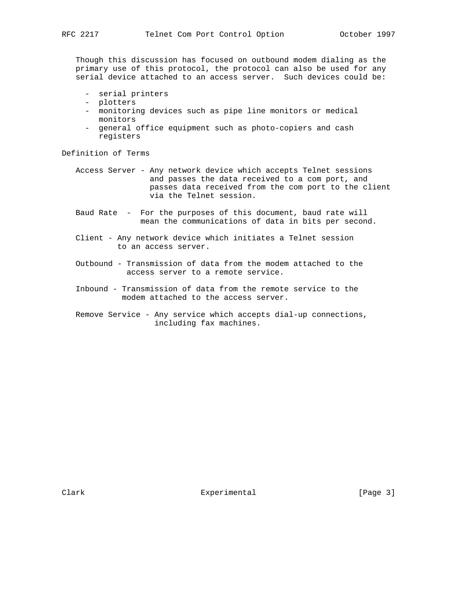Though this discussion has focused on outbound modem dialing as the primary use of this protocol, the protocol can also be used for any serial device attached to an access server. Such devices could be:

- serial printers
- plotters
- monitoring devices such as pipe line monitors or medical monitors
- general office equipment such as photo-copiers and cash registers

Definition of Terms

 Access Server - Any network device which accepts Telnet sessions and passes the data received to a com port, and passes data received from the com port to the client via the Telnet session.

- Baud Rate For the purposes of this document, baud rate will mean the communications of data in bits per second.
- Client Any network device which initiates a Telnet session to an access server.
- Outbound Transmission of data from the modem attached to the access server to a remote service.
- Inbound Transmission of data from the remote service to the modem attached to the access server.
- Remove Service Any service which accepts dial-up connections, including fax machines.

Clark **Experimental** Experimental [Page 3]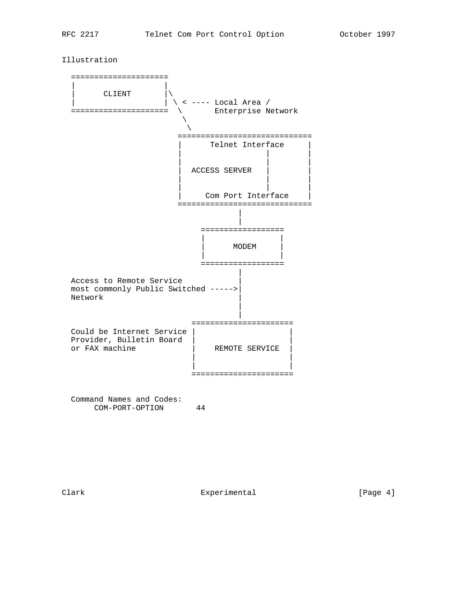Illustration



Clark Experimental [Page 4]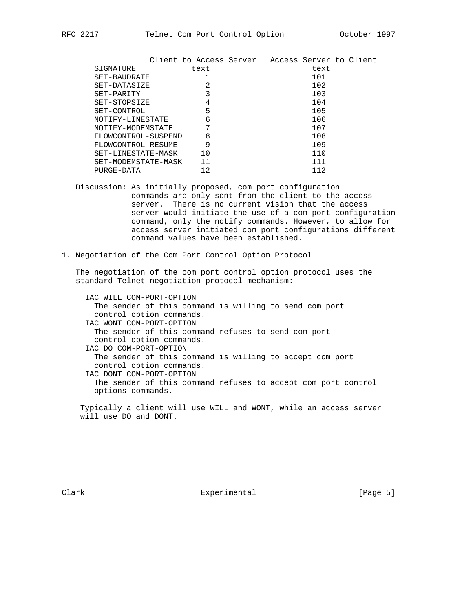| Client to Access Server   | Access Server to Client |
|---------------------------|-------------------------|
| text                      | text                    |
|                           | 101                     |
| 2                         | 102                     |
| 3                         | 103                     |
| 4                         | 104                     |
| 5                         | 105                     |
| 6                         | 106                     |
| 7                         | 107                     |
| 8                         | 108                     |
| 9                         | 109                     |
| 10                        | 110                     |
| 11<br>SET-MODEMSTATE-MASK | 111                     |
| 12                        | 112                     |
|                           |                         |

 Discussion: As initially proposed, com port configuration commands are only sent from the client to the access server. There is no current vision that the access server would initiate the use of a com port configuration command, only the notify commands. However, to allow for access server initiated com port configurations different command values have been established.

1. Negotiation of the Com Port Control Option Protocol

 The negotiation of the com port control option protocol uses the standard Telnet negotiation protocol mechanism:

 IAC WILL COM-PORT-OPTION The sender of this command is willing to send com port control option commands. IAC WONT COM-PORT-OPTION The sender of this command refuses to send com port control option commands. IAC DO COM-PORT-OPTION The sender of this command is willing to accept com port control option commands. IAC DONT COM-PORT-OPTION The sender of this command refuses to accept com port control options commands.

 Typically a client will use WILL and WONT, while an access server will use DO and DONT.

Clark **Experimental** Experimental [Page 5]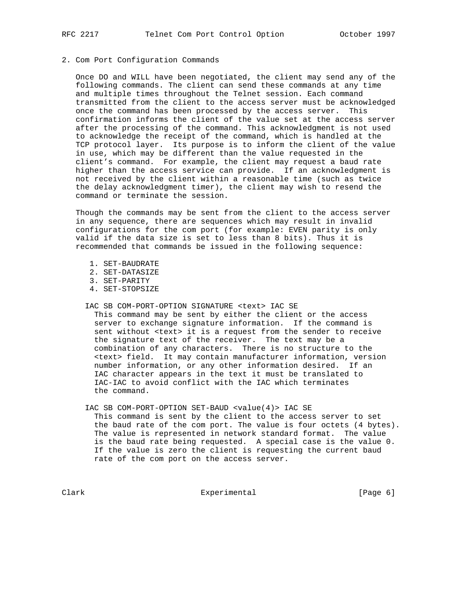## 2. Com Port Configuration Commands

 Once DO and WILL have been negotiated, the client may send any of the following commands. The client can send these commands at any time and multiple times throughout the Telnet session. Each command transmitted from the client to the access server must be acknowledged once the command has been processed by the access server. This confirmation informs the client of the value set at the access server after the processing of the command. This acknowledgment is not used to acknowledge the receipt of the command, which is handled at the TCP protocol layer. Its purpose is to inform the client of the value in use, which may be different than the value requested in the client's command. For example, the client may request a baud rate higher than the access service can provide. If an acknowledgment is not received by the client within a reasonable time (such as twice the delay acknowledgment timer), the client may wish to resend the command or terminate the session.

 Though the commands may be sent from the client to the access server in any sequence, there are sequences which may result in invalid configurations for the com port (for example: EVEN parity is only valid if the data size is set to less than 8 bits). Thus it is recommended that commands be issued in the following sequence:

- 1. SET-BAUDRATE
- 2. SET-DATASIZE
- 3. SET-PARITY
- 4. SET-STOPSIZE
- IAC SB COM-PORT-OPTION SIGNATURE <text> IAC SE

 This command may be sent by either the client or the access server to exchange signature information. If the command is sent without <text> it is a request from the sender to receive the signature text of the receiver. The text may be a combination of any characters. There is no structure to the <text> field. It may contain manufacturer information, version number information, or any other information desired. If an IAC character appears in the text it must be translated to IAC-IAC to avoid conflict with the IAC which terminates the command.

 IAC SB COM-PORT-OPTION SET-BAUD <value(4)> IAC SE This command is sent by the client to the access server to set the baud rate of the com port. The value is four octets (4 bytes). The value is represented in network standard format. The value is the baud rate being requested. A special case is the value 0. If the value is zero the client is requesting the current baud rate of the com port on the access server.

Clark Experimental Experimental [Page 6]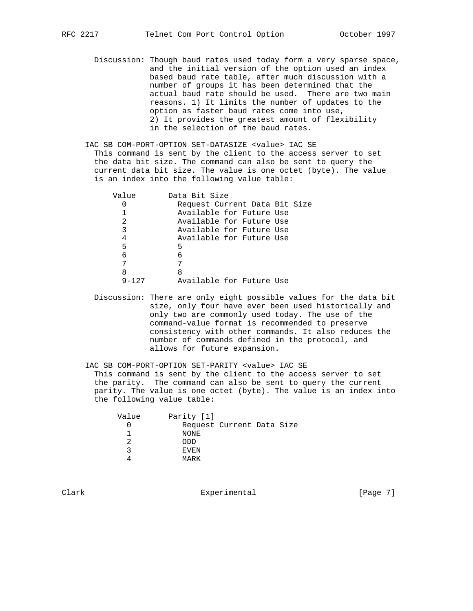Discussion: Though baud rates used today form a very sparse space, and the initial version of the option used an index based baud rate table, after much discussion with a number of groups it has been determined that the actual baud rate should be used. There are two main reasons. 1) It limits the number of updates to the option as faster baud rates come into use, 2) It provides the greatest amount of flexibility in the selection of the baud rates.

 IAC SB COM-PORT-OPTION SET-DATASIZE <value> IAC SE This command is sent by the client to the access server to set the data bit size. The command can also be sent to query the current data bit size. The value is one octet (byte). The value is an index into the following value table:

| Value     | Data Bit Size                 |
|-----------|-------------------------------|
|           | Request Current Data Bit Size |
|           | Available for Future Use      |
| 2         | Available for Future Use      |
| 3         | Available for Future Use      |
| 4         | Available for Future Use      |
| 5         | 5                             |
| 6         | 6                             |
| 7         |                               |
| 8         | 8                             |
| $9 - 127$ | Available for Future Use      |

 Discussion: There are only eight possible values for the data bit size, only four have ever been used historically and only two are commonly used today. The use of the command-value format is recommended to preserve consistency with other commands. It also reduces the number of commands defined in the protocol, and allows for future expansion.

 IAC SB COM-PORT-OPTION SET-PARITY <value> IAC SE This command is sent by the client to the access server to set the parity. The command can also be sent to query the current parity. The value is one octet (byte). The value is an index into the following value table:

| Value | Parity [1]                |
|-------|---------------------------|
|       | Request Current Data Size |
|       | NONE                      |
|       | ODD                       |
|       | EVEN                      |
|       | MARK                      |

Clark **Experimental** Experimental [Page 7]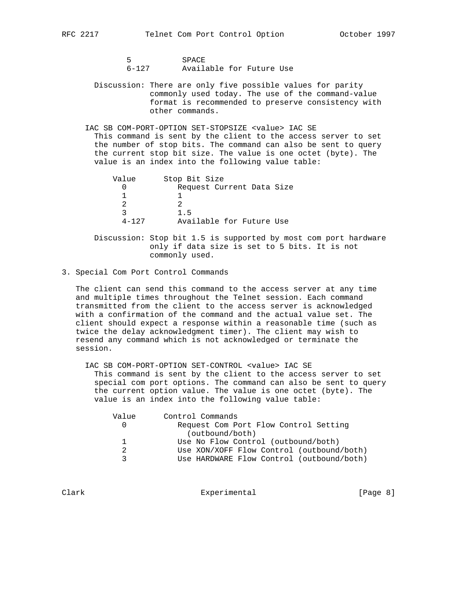5 SPACE<br>6-127 Availa

Available for Future Use

- Discussion: There are only five possible values for parity commonly used today. The use of the command-value format is recommended to preserve consistency with other commands.
- IAC SB COM-PORT-OPTION SET-STOPSIZE <value> IAC SE This command is sent by the client to the access server to set the number of stop bits. The command can also be sent to query the current stop bit size. The value is one octet (byte). The value is an index into the following value table:

| Value     | Stop Bit Size             |
|-----------|---------------------------|
|           | Request Current Data Size |
|           |                           |
|           |                           |
|           | 1.5                       |
| $4 - 127$ | Available for Future Use  |

 Discussion: Stop bit 1.5 is supported by most com port hardware only if data size is set to 5 bits. It is not commonly used.

3. Special Com Port Control Commands

 The client can send this command to the access server at any time and multiple times throughout the Telnet session. Each command transmitted from the client to the access server is acknowledged with a confirmation of the command and the actual value set. The client should expect a response within a reasonable time (such as twice the delay acknowledgment timer). The client may wish to resend any command which is not acknowledged or terminate the session.

IAC SB COM-PORT-OPTION SET-CONTROL <value> IAC SE

 This command is sent by the client to the access server to set special com port options. The command can also be sent to query the current option value. The value is one octet (byte). The value is an index into the following value table:

| Value         | Control Commands                          |
|---------------|-------------------------------------------|
|               | Request Com Port Flow Control Setting     |
|               | (outbound/both)                           |
|               | Use No Flow Control (outbound/both)       |
| $\mathcal{P}$ | Use XON/XOFF Flow Control (outbound/both) |
|               | Use HARDWARE Flow Control (outbound/both) |

Clark **Experimental** Experimental [Page 8]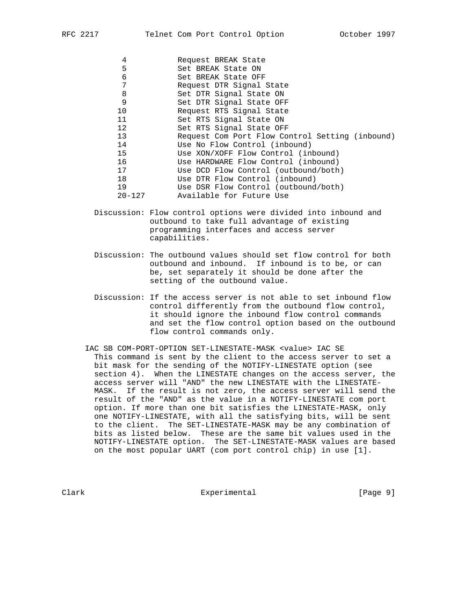| 4          | Request BREAK State                             |
|------------|-------------------------------------------------|
| 5          | Set BREAK State ON                              |
| 6          | Set BREAK State OFF                             |
| 7          | Request DTR Signal State                        |
| 8          | Set DTR Signal State ON                         |
| 9          | Set DTR Signal State OFF                        |
| 10         | Request RTS Signal State                        |
| 11         | Set RTS Signal State ON                         |
| 12         | Set RTS Signal State OFF                        |
| 13         | Request Com Port Flow Control Setting (inbound) |
| 14         | Use No Flow Control (inbound)                   |
| 15         | Use XON/XOFF Flow Control (inbound)             |
| 16         | Use HARDWARE Flow Control (inbound)             |
| 17         | Use DCD Flow Control (outbound/both)            |
| 18         | Use DTR Flow Control (inbound)                  |
| 19         | Use DSR Flow Control (outbound/both)            |
| $20 - 127$ | Available for Future Use                        |
|            |                                                 |

- Discussion: Flow control options were divided into inbound and outbound to take full advantage of existing programming interfaces and access server capabilities.
- Discussion: The outbound values should set flow control for both outbound and inbound. If inbound is to be, or can be, set separately it should be done after the setting of the outbound value.
- Discussion: If the access server is not able to set inbound flow control differently from the outbound flow control, it should ignore the inbound flow control commands and set the flow control option based on the outbound flow control commands only.
- IAC SB COM-PORT-OPTION SET-LINESTATE-MASK <value> IAC SE This command is sent by the client to the access server to set a bit mask for the sending of the NOTIFY-LINESTATE option (see section 4). When the LINESTATE changes on the access server, the access server will "AND" the new LINESTATE with the LINESTATE- MASK. If the result is not zero, the access server will send the result of the "AND" as the value in a NOTIFY-LINESTATE com port option. If more than one bit satisfies the LINESTATE-MASK, only one NOTIFY-LINESTATE, with all the satisfying bits, will be sent to the client. The SET-LINESTATE-MASK may be any combination of bits as listed below. These are the same bit values used in the NOTIFY-LINESTATE option. The SET-LINESTATE-MASK values are based on the most popular UART (com port control chip) in use [1].

Clark Experimental Experimental [Page 9]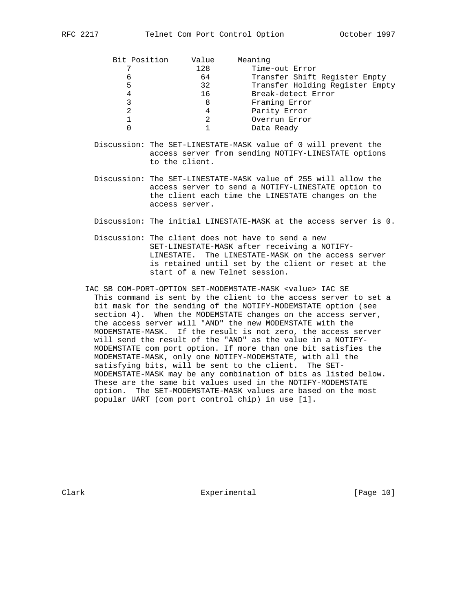| Bit Position | Value | Meaning                         |
|--------------|-------|---------------------------------|
|              | 128   | Time-out Error                  |
| 6            | 64    | Transfer Shift Register Empty   |
| 5            | 32    | Transfer Holding Register Empty |
| 4            | 16    | Break-detect Error              |
|              | 8     | Framing Error                   |
|              | 4     | Parity Error                    |
|              |       | Overrun Error                   |
|              |       | Data Ready                      |
|              |       |                                 |

- Discussion: The SET-LINESTATE-MASK value of 0 will prevent the access server from sending NOTIFY-LINESTATE options to the client.
- Discussion: The SET-LINESTATE-MASK value of 255 will allow the access server to send a NOTIFY-LINESTATE option to the client each time the LINESTATE changes on the access server.

Discussion: The initial LINESTATE-MASK at the access server is 0.

- Discussion: The client does not have to send a new SET-LINESTATE-MASK after receiving a NOTIFY- LINESTATE. The LINESTATE-MASK on the access server is retained until set by the client or reset at the start of a new Telnet session.
- IAC SB COM-PORT-OPTION SET-MODEMSTATE-MASK <value> IAC SE This command is sent by the client to the access server to set a bit mask for the sending of the NOTIFY-MODEMSTATE option (see section 4). When the MODEMSTATE changes on the access server, the access server will "AND" the new MODEMSTATE with the MODEMSTATE-MASK. If the result is not zero, the access server will send the result of the "AND" as the value in a NOTIFY- MODEMSTATE com port option. If more than one bit satisfies the MODEMSTATE-MASK, only one NOTIFY-MODEMSTATE, with all the satisfying bits, will be sent to the client. The SET- MODEMSTATE-MASK may be any combination of bits as listed below. These are the same bit values used in the NOTIFY-MODEMSTATE option. The SET-MODEMSTATE-MASK values are based on the most popular UART (com port control chip) in use [1].

Clark Experimental [Page 10]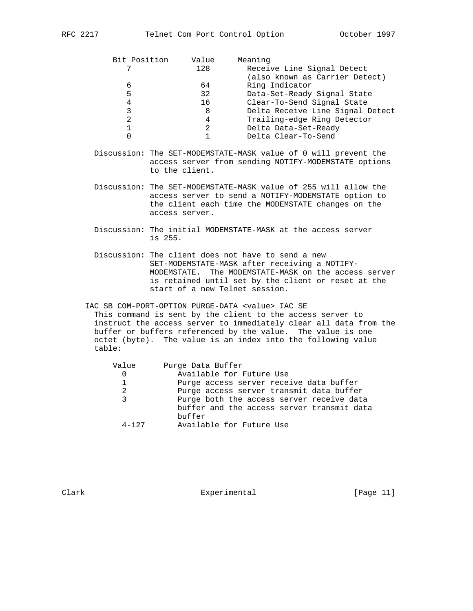| Bit Position | Value | Meaning                          |
|--------------|-------|----------------------------------|
|              | 128   | Receive Line Signal Detect       |
|              |       | (also known as Carrier Detect)   |
| 6            | 64    | Ring Indicator                   |
| 5            | 32    | Data-Set-Ready Signal State      |
| 4            | 16    | Clear-To-Send Signal State       |
|              | 8     | Delta Receive Line Signal Detect |
|              | 4     | Trailing-edge Ring Detector      |
|              | 2     | Delta Data-Set-Ready             |
|              |       | Delta Clear-To-Send              |

- Discussion: The SET-MODEMSTATE-MASK value of 0 will prevent the access server from sending NOTIFY-MODEMSTATE options to the client.
- Discussion: The SET-MODEMSTATE-MASK value of 255 will allow the access server to send a NOTIFY-MODEMSTATE option to the client each time the MODEMSTATE changes on the access server.
- Discussion: The initial MODEMSTATE-MASK at the access server is 255.
- Discussion: The client does not have to send a new SET-MODEMSTATE-MASK after receiving a NOTIFY- MODEMSTATE. The MODEMSTATE-MASK on the access server is retained until set by the client or reset at the start of a new Telnet session.

 IAC SB COM-PORT-OPTION PURGE-DATA <value> IAC SE This command is sent by the client to the access server to instruct the access server to immediately clear all data from the buffer or buffers referenced by the value. The value is one octet (byte). The value is an index into the following value table:

| Value        | Purge Data Buffer                          |
|--------------|--------------------------------------------|
|              | Available for Future Use                   |
| $\mathbf{1}$ | Purge access server receive data buffer    |
| 2            | Purge access server transmit data buffer   |
| २            | Purge both the access server receive data  |
|              | buffer and the access server transmit data |
|              | buffer                                     |
| $4 - 127$    | Available for Future Use                   |
|              |                                            |

Clark Experimental [Page 11]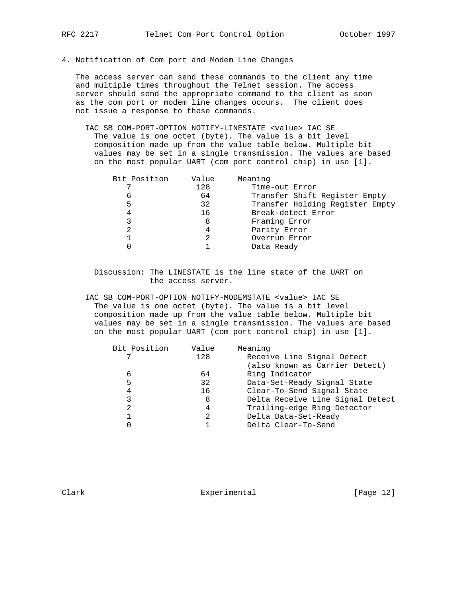4. Notification of Com port and Modem Line Changes

 The access server can send these commands to the client any time and multiple times throughout the Telnet session. The access server should send the appropriate command to the client as soon as the com port or modem line changes occurs. The client does not issue a response to these commands.

 IAC SB COM-PORT-OPTION NOTIFY-LINESTATE <value> IAC SE The value is one octet (byte). The value is a bit level composition made up from the value table below. Multiple bit values may be set in a single transmission. The values are based on the most popular UART (com port control chip) in use [1].

| Time-out Error<br>128<br>Transfer Shift Register Empty<br>64<br>6<br>5<br>32<br>Break-detect Error<br>16<br>4<br>Framing Error<br>8<br>Parity Error<br>4<br>Overrun Error<br>Data Ready | Bit Position | Value | Meaning                         |
|-----------------------------------------------------------------------------------------------------------------------------------------------------------------------------------------|--------------|-------|---------------------------------|
|                                                                                                                                                                                         |              |       |                                 |
|                                                                                                                                                                                         |              |       |                                 |
|                                                                                                                                                                                         |              |       | Transfer Holding Register Empty |
|                                                                                                                                                                                         |              |       |                                 |
|                                                                                                                                                                                         |              |       |                                 |
|                                                                                                                                                                                         |              |       |                                 |
|                                                                                                                                                                                         |              |       |                                 |
|                                                                                                                                                                                         |              |       |                                 |

 Discussion: The LINESTATE is the line state of the UART on the access server.

 IAC SB COM-PORT-OPTION NOTIFY-MODEMSTATE <value> IAC SE The value is one octet (byte). The value is a bit level composition made up from the value table below. Multiple bit values may be set in a single transmission. The values are based on the most popular UART (com port control chip) in use [1].

| Bit Position | Value | Meaning                          |
|--------------|-------|----------------------------------|
|              | 128   | Receive Line Signal Detect       |
|              |       | (also known as Carrier Detect)   |
| 6            | 64    | Ring Indicator                   |
| 5            | 32    | Data-Set-Ready Signal State      |
| 4            | 16    | Clear-To-Send Signal State       |
|              | 8     | Delta Receive Line Signal Detect |
| 2            | 4     | Trailing-edge Ring Detector      |
|              |       | Delta Data-Set-Ready             |
|              |       | Delta Clear-To-Send              |
|              |       |                                  |

Clark **Experimental** Experimental [Page 12]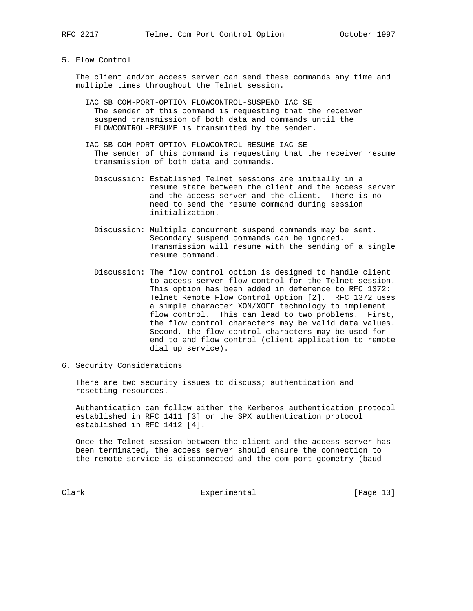5. Flow Control

 The client and/or access server can send these commands any time and multiple times throughout the Telnet session.

- IAC SB COM-PORT-OPTION FLOWCONTROL-SUSPEND IAC SE The sender of this command is requesting that the receiver suspend transmission of both data and commands until the FLOWCONTROL-RESUME is transmitted by the sender.
- IAC SB COM-PORT-OPTION FLOWCONTROL-RESUME IAC SE The sender of this command is requesting that the receiver resume transmission of both data and commands.
	- Discussion: Established Telnet sessions are initially in a resume state between the client and the access server and the access server and the client. There is no need to send the resume command during session initialization.
	- Discussion: Multiple concurrent suspend commands may be sent. Secondary suspend commands can be ignored. Transmission will resume with the sending of a single resume command.
	- Discussion: The flow control option is designed to handle client to access server flow control for the Telnet session. This option has been added in deference to RFC 1372: Telnet Remote Flow Control Option [2]. RFC 1372 uses a simple character XON/XOFF technology to implement flow control. This can lead to two problems. First, the flow control characters may be valid data values. Second, the flow control characters may be used for end to end flow control (client application to remote dial up service).
- 6. Security Considerations

There are two security issues to discuss; authentication and resetting resources.

 Authentication can follow either the Kerberos authentication protocol established in RFC 1411 [3] or the SPX authentication protocol established in RFC 1412 [4].

 Once the Telnet session between the client and the access server has been terminated, the access server should ensure the connection to the remote service is disconnected and the com port geometry (baud

Clark **Experimental** Experimental [Page 13]